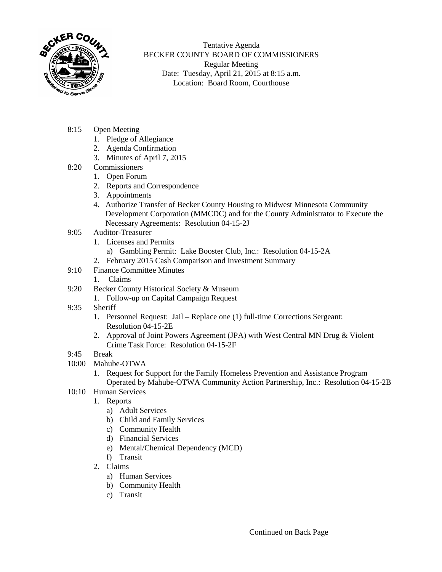

Tentative Agenda BECKER COUNTY BOARD OF COMMISSIONERS Regular Meeting Date: Tuesday, April 21, 2015 at 8:15 a.m. Location: Board Room, Courthouse

- 8:15 Open Meeting
	- 1. Pledge of Allegiance
	- 2. Agenda Confirmation
	- 3. Minutes of April 7, 2015
- 8:20 Commissioners
	- 1. Open Forum
	- 2. Reports and Correspondence
	- 3. Appointments
	- 4. Authorize Transfer of Becker County Housing to Midwest Minnesota Community Development Corporation (MMCDC) and for the County Administrator to Execute the Necessary Agreements: Resolution 04-15-2J
- 9:05 Auditor-Treasurer
	- 1. Licenses and Permits
		- a) Gambling Permit: Lake Booster Club, Inc.: Resolution 04-15-2A
	- 2. February 2015 Cash Comparison and Investment Summary
- 9:10 Finance Committee Minutes
	- 1. Claims
- 9:20 Becker County Historical Society & Museum
	- 1. Follow-up on Capital Campaign Request
- 9:35 Sheriff
	- 1. Personnel Request: Jail Replace one (1) full-time Corrections Sergeant: Resolution 04-15-2E
	- 2. Approval of Joint Powers Agreement (JPA) with West Central MN Drug & Violent Crime Task Force: Resolution 04-15-2F
- 9:45 Break
- 10:00 Mahube-OTWA
	- 1. Request for Support for the Family Homeless Prevention and Assistance Program Operated by Mahube-OTWA Community Action Partnership, Inc.: Resolution 04-15-2B
- 10:10 Human Services
	- 1. Reports
		- a) Adult Services
		- b) Child and Family Services
		- c) Community Health
		- d) Financial Services
		- e) Mental/Chemical Dependency (MCD)
		- f) Transit
	- 2. Claims
		- a) Human Services
		- b) Community Health
		- c) Transit